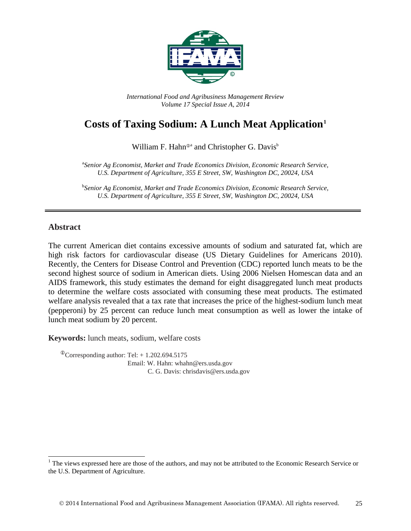

*International Food and Agribusiness Management Review Volume 17 Special Issue A, 2014*

# **Costs of Taxing Sodium: A Lunch Meat Application[1](#page-0-0)**

William F. Hahn<sup>®a</sup> and Christopher G. Davis<sup>b</sup>

a *Senior Ag Economist, Market and Trade Economics Division, Economic Research Service, U.S. Department of Agriculture, 355 E Street, SW, Washington DC, 20024, USA*

b *Senior Ag Economist, Market and Trade Economics Division, Economic Research Service, U.S. Department of Agriculture, 355 E Street, SW, Washington DC, 20024, USA*

#### **Abstract**

The current American diet contains excessive amounts of sodium and saturated fat, which are high risk factors for cardiovascular disease (US Dietary Guidelines for Americans 2010). Recently, the Centers for Disease Control and Prevention (CDC) reported lunch meats to be the second highest source of sodium in American diets. Using 2006 Nielsen Homescan data and an AIDS framework, this study estimates the demand for eight disaggregated lunch meat products to determine the welfare costs associated with consuming these meat products. The estimated welfare analysis revealed that a tax rate that increases the price of the highest-sodium lunch meat (pepperoni) by 25 percent can reduce lunch meat consumption as well as lower the intake of lunch meat sodium by 20 percent.

**Keywords:** lunch meats, sodium, welfare costs

 $^{\circ}$ Corresponding author: Tel: + 1.202.694.5175 Email: W. Hahn: whahn@ers.usda.gov C. G. Davis: chrisdavis@ers.usda.gov

<span id="page-0-0"></span> $<sup>1</sup>$  The views expressed here are those of the authors, and may not be attributed to the Economic Research Service or</sup> the U.S. Department of Agriculture.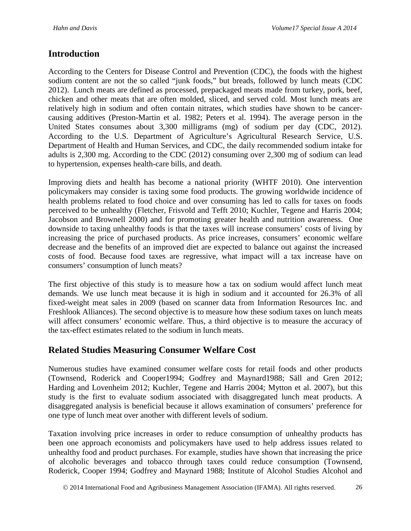## **Introduction**

According to the Centers for Disease Control and Prevention (CDC), the foods with the highest sodium content are not the so called "junk foods," but breads, followed by lunch meats (CDC 2012). Lunch meats are defined as processed, prepackaged meats made from turkey, pork, beef, chicken and other meats that are often molded, sliced, and served cold. Most lunch meats are relatively high in sodium and often contain nitrates, which studies have shown to be cancercausing additives (Preston-Martin et al. 1982; Peters et al. 1994). The average person in the United States consumes about 3,300 milligrams (mg) of sodium per day (CDC, 2012). According to the U.S. Department of Agriculture's Agricultural Research Service, U.S. Department of Health and Human Services, and CDC, the daily recommended sodium intake for adults is 2,300 mg. According to the CDC (2012) consuming over 2,300 mg of sodium can lead to hypertension, expenses health-care bills, and death.

Improving diets and health has become a national priority (WHTF 2010). One intervention policymakers may consider is taxing some food products. The growing worldwide incidence of health problems related to food choice and over consuming has led to calls for taxes on foods perceived to be unhealthy (Fletcher, Frisvold and Tefft 2010; Kuchler, Tegene and Harris 2004; Jacobson and Brownell 2000) and for promoting greater health and nutrition awareness. One downside to taxing unhealthy foods is that the taxes will increase consumers' costs of living by increasing the price of purchased products. As price increases, consumers' economic welfare decrease and the benefits of an improved diet are expected to balance out against the increased costs of food. Because food taxes are regressive, what impact will a tax increase have on consumers' consumption of lunch meats?

The first objective of this study is to measure how a tax on sodium would affect lunch meat demands. We use lunch meat because it is high in sodium and it accounted for 26.3% of all fixed-weight meat sales in 2009 (based on scanner data from Information Resources Inc. and Freshlook Alliances). The second objective is to measure how these sodium taxes on lunch meats will affect consumers' economic welfare. Thus, a third objective is to measure the accuracy of the tax-effect estimates related to the sodium in lunch meats.

## **Related Studies Measuring Consumer Welfare Cost**

Numerous studies have examined consumer welfare costs for retail foods and other products (Townsend, Roderick and Cooper1994; Godfrey and Maynard1988; Säll and Gren 2012; Harding and Lovenheim 2012; Kuchler, Tegene and Harris 2004; Mytton et al. 2007), but this study is the first to evaluate sodium associated with disaggregated lunch meat products. A disaggregated analysis is beneficial because it allows examination of consumers' preference for one type of lunch meat over another with different levels of sodium.

Taxation involving price increases in order to reduce consumption of unhealthy products has been one approach economists and policymakers have used to help address issues related to unhealthy food and product purchases. For example, studies have shown that increasing the price of alcoholic beverages and tobacco through taxes could reduce consumption (Townsend, Roderick, Cooper 1994; Godfrey and Maynard 1988; Institute of Alcohol Studies Alcohol and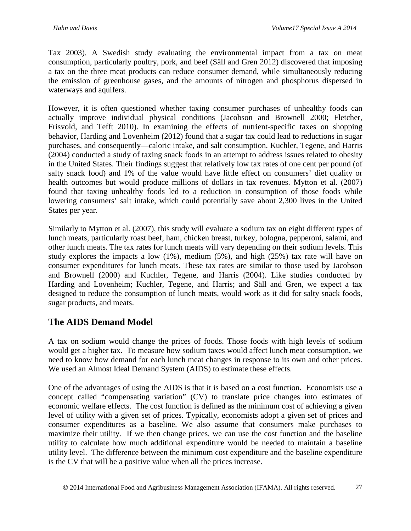Tax 2003). A Swedish study evaluating the environmental impact from a tax on meat consumption, particularly poultry, pork, and beef (Säll and Gren 2012) discovered that imposing a tax on the three meat products can reduce consumer demand, while simultaneously reducing the emission of greenhouse gases, and the amounts of nitrogen and phosphorus dispersed in waterways and aquifers.

However, it is often questioned whether taxing consumer purchases of unhealthy foods can actually improve individual physical conditions (Jacobson and Brownell 2000; Fletcher, Frisvold, and Tefft 2010). In examining the effects of nutrient-specific taxes on shopping behavior, Harding and Lovenheim (2012) found that a sugar tax could lead to reductions in sugar purchases, and consequently—caloric intake, and salt consumption. Kuchler, Tegene, and Harris (2004) conducted a study of taxing snack foods in an attempt to address issues related to obesity in the United States. Their findings suggest that relatively low tax rates of one cent per pound (of salty snack food) and 1% of the value would have little effect on consumers' diet quality or health outcomes but would produce millions of dollars in tax revenues. Mytton et al. (2007) found that taxing unhealthy foods led to a reduction in consumption of those foods while lowering consumers' salt intake, which could potentially save about 2,300 lives in the United States per year.

Similarly to Mytton et al. (2007), this study will evaluate a sodium tax on eight different types of lunch meats, particularly roast beef, ham, chicken breast, turkey, bologna, pepperoni, salami, and other lunch meats. The tax rates for lunch meats will vary depending on their sodium levels. This study explores the impacts a low (1%), medium (5%), and high (25%) tax rate will have on consumer expenditures for lunch meats. These tax rates are similar to those used by Jacobson and Brownell (2000) and Kuchler, Tegene, and Harris (2004). Like studies conducted by Harding and Lovenheim; Kuchler, Tegene, and Harris; and Säll and Gren, we expect a tax designed to reduce the consumption of lunch meats, would work as it did for salty snack foods, sugar products, and meats.

## **The AIDS Demand Model**

A tax on sodium would change the prices of foods. Those foods with high levels of sodium would get a higher tax. To measure how sodium taxes would affect lunch meat consumption, we need to know how demand for each lunch meat changes in response to its own and other prices. We used an Almost Ideal Demand System (AIDS) to estimate these effects.

One of the advantages of using the AIDS is that it is based on a cost function. Economists use a concept called "compensating variation" (CV) to translate price changes into estimates of economic welfare effects. The cost function is defined as the minimum cost of achieving a given level of utility with a given set of prices. Typically, economists adopt a given set of prices and consumer expenditures as a baseline. We also assume that consumers make purchases to maximize their utility. If we then change prices, we can use the cost function and the baseline utility to calculate how much additional expenditure would be needed to maintain a baseline utility level. The difference between the minimum cost expenditure and the baseline expenditure is the CV that will be a positive value when all the prices increase.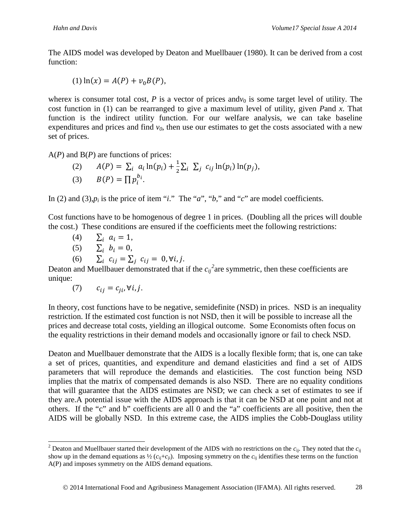The AIDS model was developed by Deaton and Muellbauer (1980). It can be derived from a cost function:

(1) 
$$
\ln(x) = A(P) + v_0 B(P)
$$
,

wherex is consumer total cost,  $P$  is a vector of prices and $v_0$  is some target level of utility. The cost function in (1) can be rearranged to give a maximum level of utility, given *P*and *x*. That function is the indirect utility function. For our welfare analysis, we can take baseline expenditures and prices and find  $v_0$ , then use our estimates to get the costs associated with a new set of prices.

A(*P*) and B(*P*) are functions of prices:

(2)  $A(P) = \sum_i a_i \ln(p_i) + \frac{1}{2} \sum_i \sum_j c_{ij} \ln(p_i) \ln(p_j),$ (3)  $B(P) = \prod p_i^{b_i}$ .

In (2) and (3), $p_i$  is the price of item "*i*." The "*a*", "*b*," and "*c*" are model coefficients.

Cost functions have to be homogenous of degree 1 in prices. (Doubling all the prices will double the cost.) These conditions are ensured if the coefficients meet the following restrictions:

- (4)  $\sum_i a_i = 1,$ <br>(5)  $\sum_i b_i = 0,$
- 
- (5)  $\Sigma_i$   $b_i = 0$ ,<br>(6)  $\Sigma_i$   $c_{ij} = \Sigma$  $\sum_i c_{ij} = \sum_j c_{ij} = 0, \forall i, j.$

Deaton and Muellbauer demonstrated that if the  $c_{ij}^2$  $c_{ij}^2$  are symmetric, then these coefficients are unique:

(7)  $c_{ij} = c_{ii}$ ,  $\forall i, j$ .

In theory, cost functions have to be negative, semidefinite (NSD) in prices. NSD is an inequality restriction. If the estimated cost function is not NSD, then it will be possible to increase all the prices and decrease total costs, yielding an illogical outcome. Some Economists often focus on the equality restrictions in their demand models and occasionally ignore or fail to check NSD.

Deaton and Muellbauer demonstrate that the AIDS is a locally flexible form; that is, one can take a set of prices, quantities, and expenditure and demand elasticities and find a set of AIDS parameters that will reproduce the demands and elasticities. The cost function being NSD implies that the matrix of compensated demands is also NSD. There are no equality conditions that will guarantee that the AIDS estimates are NSD; we can check a set of estimates to see if they are.A potential issue with the AIDS approach is that it can be NSD at one point and not at others. If the "c" and b" coefficients are all 0 and the "a" coefficients are all positive, then the AIDS will be globally NSD. In this extreme case, the AIDS implies the Cobb-Douglass utility

<span id="page-3-0"></span><sup>&</sup>lt;sup>2</sup> Deaton and Muellbauer started their development of the AIDS with no restrictions on the  $c_{ii}$ . They noted that the  $c_{ii}$ show up in the demand equations as  $\frac{1}{2}$  ( $c_{ij}+c_{ij}$ ). Imposing symmetry on the  $c_{ij}$  identifies these terms on the function A(P) and imposes symmetry on the AIDS demand equations.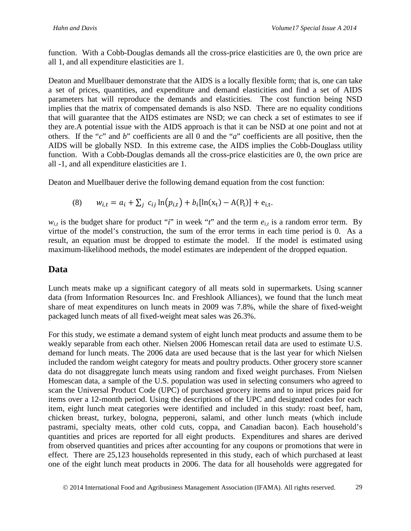function. With a Cobb-Douglas demands all the cross-price elasticities are 0, the own price are all 1, and all expenditure elasticities are 1.

Deaton and Muellbauer demonstrate that the AIDS is a locally flexible form; that is, one can take a set of prices, quantities, and expenditure and demand elasticities and find a set of AIDS parameters hat will reproduce the demands and elasticities. The cost function being NSD implies that the matrix of compensated demands is also NSD. There are no equality conditions that will guarantee that the AIDS estimates are NSD; we can check a set of estimates to see if they are.A potential issue with the AIDS approach is that it can be NSD at one point and not at others. If the "*c*" and *b*" coefficients are all 0 and the "*a*" coefficients are all positive, then the AIDS will be globally NSD. In this extreme case, the AIDS implies the Cobb-Douglass utility function. With a Cobb-Douglas demands all the cross-price elasticities are 0, the own price are all -1, and all expenditure elasticities are 1.

Deaton and Muellbauer derive the following demand equation from the cost function:

(8) 
$$
w_{i,t} = a_i + \sum_j c_{ij} \ln(p_{i,t}) + b_i [\ln(x_t) - A(P_t)] + e_{i,t}.
$$

 $w_{i,t}$  is the budget share for product "*i*" in week "*t*" and the term  $e_{i,t}$  is a random error term. By virtue of the model's construction, the sum of the error terms in each time period is 0. As a result, an equation must be dropped to estimate the model. If the model is estimated using maximum-likelihood methods, the model estimates are independent of the dropped equation.

## **Data**

Lunch meats make up a significant category of all meats sold in supermarkets. Using scanner data (from Information Resources Inc. and Freshlook Alliances), we found that the lunch meat share of meat expenditures on lunch meats in 2009 was 7.8%, while the share of fixed-weight packaged lunch meats of all fixed-weight meat sales was 26.3%.

For this study, we estimate a demand system of eight lunch meat products and assume them to be weakly separable from each other. Nielsen 2006 Homescan retail data are used to estimate U.S. demand for lunch meats. The 2006 data are used because that is the last year for which Nielsen included the random weight category for meats and poultry products. Other grocery store scanner data do not disaggregate lunch meats using random and fixed weight purchases. From Nielsen Homescan data, a sample of the U.S. population was used in selecting consumers who agreed to scan the Universal Product Code (UPC) of purchased grocery items and to input prices paid for items over a 12-month period. Using the descriptions of the UPC and designated codes for each item, eight lunch meat categories were identified and included in this study: roast beef, ham, chicken breast, turkey, bologna, pepperoni, salami, and other lunch meats (which include pastrami, specialty meats, other cold cuts, coppa, and Canadian bacon). Each household's quantities and prices are reported for all eight products. Expenditures and shares are derived from observed quantities and prices after accounting for any coupons or promotions that were in effect. There are 25,123 households represented in this study, each of which purchased at least one of the eight lunch meat products in 2006. The data for all households were aggregated for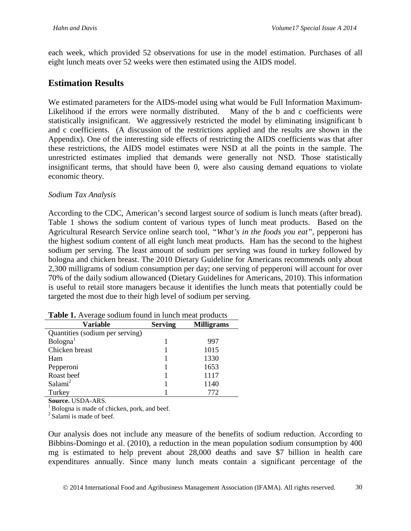each week, which provided 52 observations for use in the model estimation. Purchases of all eight lunch meats over 52 weeks were then estimated using the AIDS model.

## **Estimation Results**

We estimated parameters for the AIDS-model using what would be Full Information Maximum-Likelihood if the errors were normally distributed. Many of the b and c coefficients were statistically insignificant. We aggressively restricted the model by eliminating insignificant b and c coefficients. (A discussion of the restrictions applied and the results are shown in the Appendix). One of the interesting side effects of restricting the AIDS coefficients was that after these restrictions, the AIDS model estimates were NSD at all the points in the sample. The unrestricted estimates implied that demands were generally not NSD. Those statistically insignificant terms, that should have been 0, were also causing demand equations to violate economic theory.

#### *Sodium Tax Analysis*

According to the CDC, American's second largest source of sodium is lunch meats (after bread). Table 1 shows the sodium content of various types of lunch meat products. Based on the Agricultural Research Service online search tool, *"What's in the foods you eat",* pepperoni has the highest sodium content of all eight lunch meat products. Ham has the second to the highest sodium per serving. The least amount of sodium per serving was found in turkey followed by bologna and chicken breast. The 2010 Dietary Guideline for Americans recommends only about 2,300 milligrams of sodium consumption per day; one serving of pepperoni will account for over 70% of the daily sodium allowanced (Dietary Guidelines for Americans, 2010). This information is useful to retail store managers because it identifies the lunch meats that potentially could be targeted the most due to their high level of sodium per serving.

| <b>TWORE IN THE CHANGE BOUGHAIL TOWILD IN TWILDER PLOGGEERS</b> |                |                   |  |  |  |  |
|-----------------------------------------------------------------|----------------|-------------------|--|--|--|--|
| Variable                                                        | <b>Serving</b> | <b>Milligrams</b> |  |  |  |  |
| Quantities (sodium per serving)                                 |                |                   |  |  |  |  |
| Bologna <sup>1</sup>                                            |                | 997               |  |  |  |  |
| Chicken breast                                                  |                | 1015              |  |  |  |  |
| Ham                                                             |                | 1330              |  |  |  |  |
| Pepperoni                                                       |                | 1653              |  |  |  |  |
| Roast beef                                                      |                | 1117              |  |  |  |  |
| Salami <sup>2</sup>                                             |                | 1140              |  |  |  |  |
| Turkey                                                          |                | 772               |  |  |  |  |

| Table 1. Average sodium found in lunch meat products |  |  |  |
|------------------------------------------------------|--|--|--|
|------------------------------------------------------|--|--|--|

**Source.** USDA-ARS.<br><sup>1</sup> Bologna is made of chicken, pork, and beef.

<sup>2</sup> Salami is made of beef.

Our analysis does not include any measure of the benefits of sodium reduction. According to Bibbins-Domingo et al. (2010), a reduction in the mean population sodium consumption by 400 mg is estimated to help prevent about 28,000 deaths and save \$7 billion in health care expenditures annually. Since many lunch meats contain a significant percentage of the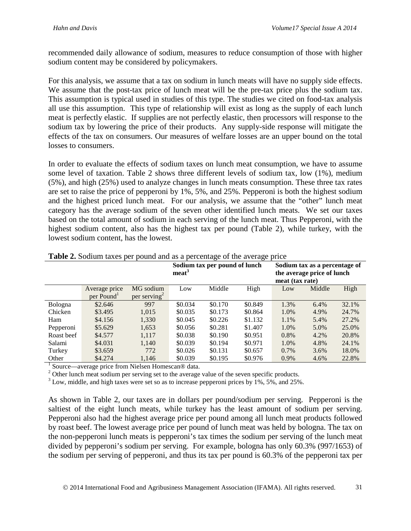recommended daily allowance of sodium, measures to reduce consumption of those with higher sodium content may be considered by policymakers.

For this analysis, we assume that a tax on sodium in lunch meats will have no supply side effects. We assume that the post-tax price of lunch meat will be the pre-tax price plus the sodium tax. This assumption is typical used in studies of this type. The studies we cited on food-tax analysis all use this assumption. This type of relationship will exist as long as the supply of each lunch meat is perfectly elastic. If supplies are not perfectly elastic, then processors will response to the sodium tax by lowering the price of their products. Any supply-side response will mitigate the effects of the tax on consumers. Our measures of welfare losses are an upper bound on the total losses to consumers.

In order to evaluate the effects of sodium taxes on lunch meat consumption, we have to assume some level of taxation. Table 2 shows three different levels of sodium tax, low (1%), medium (5%), and high (25%) used to analyze changes in lunch meats consumption. These three tax rates are set to raise the price of pepperoni by 1%, 5%, and 25%. Pepperoni is both the highest sodium and the highest priced lunch meat. For our analysis, we assume that the "other" lunch meat category has the average sodium of the seven other identified lunch meats. We set our taxes based on the total amount of sodium in each serving of the lunch meat. Thus Pepperoni, with the highest sodium content, also has the highest tax per pound (Table 2), while turkey, with the lowest sodium content, has the lowest.

|            |                        |             | Sodium tax per pound of lunch<br>meat <sup>3</sup> |         |         | Sodium tax as a percentage of<br>the average price of lunch<br>meat (tax rate) |        |       |
|------------|------------------------|-------------|----------------------------------------------------|---------|---------|--------------------------------------------------------------------------------|--------|-------|
|            | Average price          | MG sodium   | Low                                                | Middle  | High    | Low                                                                            | Middle | High  |
|            | per Pound <sup>1</sup> | per serving |                                                    |         |         |                                                                                |        |       |
| Bologna    | \$2.646                | 997         | \$0.034                                            | \$0.170 | \$0.849 | 1.3%                                                                           | 6.4%   | 32.1% |
| Chicken    | \$3.495                | 1,015       | \$0.035                                            | \$0.173 | \$0.864 | 1.0%                                                                           | 4.9%   | 24.7% |
| Ham        | \$4.156                | 1,330       | \$0.045                                            | \$0.226 | \$1.132 | 1.1%                                                                           | 5.4%   | 27.2% |
| Pepperoni  | \$5.629                | 1,653       | \$0.056                                            | \$0.281 | \$1.407 | 1.0%                                                                           | 5.0%   | 25.0% |
| Roast beef | \$4.577                | 1,117       | \$0.038                                            | \$0.190 | \$0.951 | 0.8%                                                                           | 4.2%   | 20.8% |
| Salami     | \$4.031                | 1,140       | \$0.039                                            | \$0.194 | \$0.971 | 1.0%                                                                           | 4.8%   | 24.1% |
| Turkey     | \$3.659                | 772         | \$0.026                                            | \$0.131 | \$0.657 | $0.7\%$                                                                        | 3.6%   | 18.0% |
| Other      | \$4.274                | 1,146       | \$0.039                                            | \$0.195 | \$0.976 | 0.9%                                                                           | 4.6%   | 22.8% |

**Table 2.** Sodium taxes per pound and as a percentage of the average price

<sup>1</sup> Source—average price from Nielsen Homescan® data.<br><sup>2</sup> Other lunch meat sodium per serving set to the average value of the seven specific products.

<sup>3</sup> Low, middle, and high taxes were set so as to increase pepperoni prices by 1%, 5%, and 25%.

As shown in Table 2, our taxes are in dollars per pound/sodium per serving. Pepperoni is the saltiest of the eight lunch meats, while turkey has the least amount of sodium per serving. Pepperoni also had the highest average price per pound among all lunch meat products followed by roast beef. The lowest average price per pound of lunch meat was held by bologna. The tax on the non-pepperoni lunch meats is pepperoni's tax times the sodium per serving of the lunch meat divided by pepperoni's sodium per serving. For example, bologna has only 60.3% (997/1653) of the sodium per serving of pepperoni, and thus its tax per pound is 60.3% of the pepperoni tax per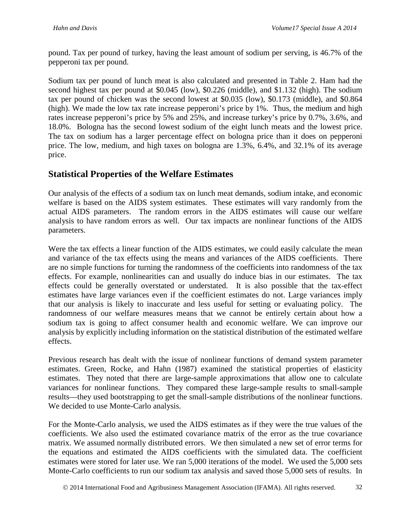pound. Tax per pound of turkey, having the least amount of sodium per serving, is 46.7% of the pepperoni tax per pound.

Sodium tax per pound of lunch meat is also calculated and presented in Table 2. Ham had the second highest tax per pound at \$0.045 (low), \$0.226 (middle), and \$1.132 (high). The sodium tax per pound of chicken was the second lowest at \$0.035 (low), \$0.173 (middle), and \$0.864 (high). We made the low tax rate increase pepperoni's price by 1%. Thus, the medium and high rates increase pepperoni's price by 5% and 25%, and increase turkey's price by 0.7%, 3.6%, and 18.0%. Bologna has the second lowest sodium of the eight lunch meats and the lowest price. The tax on sodium has a larger percentage effect on bologna price than it does on pepperoni price. The low, medium, and high taxes on bologna are 1.3%, 6.4%, and 32.1% of its average price.

### **Statistical Properties of the Welfare Estimates**

Our analysis of the effects of a sodium tax on lunch meat demands, sodium intake, and economic welfare is based on the AIDS system estimates. These estimates will vary randomly from the actual AIDS parameters. The random errors in the AIDS estimates will cause our welfare analysis to have random errors as well. Our tax impacts are nonlinear functions of the AIDS parameters.

Were the tax effects a linear function of the AIDS estimates, we could easily calculate the mean and variance of the tax effects using the means and variances of the AIDS coefficients. There are no simple functions for turning the randomness of the coefficients into randomness of the tax effects. For example, nonlinearities can and usually do induce bias in our estimates. The tax effects could be generally overstated or understated. It is also possible that the tax-effect estimates have large variances even if the coefficient estimates do not. Large variances imply that our analysis is likely to inaccurate and less useful for setting or evaluating policy. The randomness of our welfare measures means that we cannot be entirely certain about how a sodium tax is going to affect consumer health and economic welfare. We can improve our analysis by explicitly including information on the statistical distribution of the estimated welfare effects.

Previous research has dealt with the issue of nonlinear functions of demand system parameter estimates. Green, Rocke, and Hahn (1987) examined the statistical properties of elasticity estimates. They noted that there are large-sample approximations that allow one to calculate variances for nonlinear functions. They compared these large-sample results to small-sample results—they used bootstrapping to get the small-sample distributions of the nonlinear functions. We decided to use Monte-Carlo analysis.

For the Monte-Carlo analysis, we used the AIDS estimates as if they were the true values of the coefficients. We also used the estimated covariance matrix of the error as the true covariance matrix. We assumed normally distributed errors. We then simulated a new set of error terms for the equations and estimated the AIDS coefficients with the simulated data. The coefficient estimates were stored for later use. We ran 5,000 iterations of the model. We used the 5,000 sets Monte-Carlo coefficients to run our sodium tax analysis and saved those 5,000 sets of results. In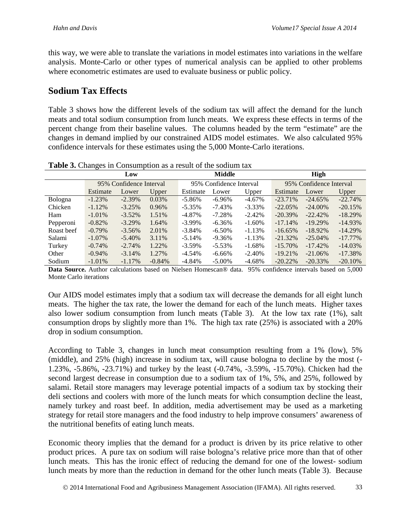this way, we were able to translate the variations in model estimates into variations in the welfare analysis. Monte-Carlo or other types of numerical analysis can be applied to other problems where econometric estimates are used to evaluate business or public policy.

### **Sodium Tax Effects**

Table 3 shows how the different levels of the sodium tax will affect the demand for the lunch meats and total sodium consumption from lunch meats. We express these effects in terms of the percent change from their baseline values. The columns headed by the term "estimate" are the changes in demand implied by our constrained AIDS model estimates. We also calculated 95% confidence intervals for these estimates using the 5,000 Monte-Carlo iterations.

| <b>Table 5.</b> Changes in Consumption as a result of the soutunt tax |           |                         |          |                         |             |           |                         |            |            |
|-----------------------------------------------------------------------|-----------|-------------------------|----------|-------------------------|-------------|-----------|-------------------------|------------|------------|
|                                                                       | Low       |                         | Middle   |                         | <b>High</b> |           |                         |            |            |
|                                                                       |           | 95% Confidence Interval |          | 95% Confidence Interval |             |           | 95% Confidence Interval |            |            |
|                                                                       | Estimate  | Lower                   | Upper    | Estimate                | Lower       | Upper     | Estimate                | Lower      | Upper      |
| Bologna                                                               | $-1.23%$  | $-2.39%$                | 0.03%    | $-5.86\%$               | $-6.96%$    | $-4.67\%$ | $-23.71\%$              | $-24.65%$  | $-22.74%$  |
| Chicken                                                               | $-1.12\%$ | $-3.25%$                | 0.96%    | $-5.35\%$               | $-7.43\%$   | $-3.33\%$ | $-22.05%$               | $-24.00\%$ | $-20.15%$  |
| Ham                                                                   | $-1.01\%$ | $-3.52\%$               | 1.51%    | $-4.87\%$               | $-7.28\%$   | $-2.42%$  | $-20.39\%$              | $-22.42%$  | $-18.29\%$ |
| Pepperoni                                                             | $-0.82%$  | $-3.29\%$               | 1.64%    | $-3.99\%$               | $-6.36\%$   | $-1.60\%$ | $-17.14%$               | $-19.29%$  | $-14.93\%$ |
| Roast beef                                                            | $-0.79\%$ | $-3.56%$                | 2.01%    | $-3.84\%$               | $-6.50\%$   | $-1.13%$  | $-16.65\%$              | $-18.92\%$ | $-14.29%$  |
| Salami                                                                | $-1.07\%$ | $-5.40\%$               | 3.11%    | $-5.14%$                | $-9.36\%$   | $-1.13%$  | $-21.32\%$              | $-25.04\%$ | $-17.77\%$ |
| Turkey                                                                | $-0.74%$  | $-2.74%$                | 1.22%    | $-3.59\%$               | $-5.53\%$   | $-1.68%$  | $-15.70\%$              | $-17.42\%$ | $-14.03\%$ |
| Other                                                                 | $-0.94\%$ | $-3.14%$                | 1.27%    | -4.54%                  | $-6.66\%$   | $-2.40\%$ | $-19.21%$               | $-21.06\%$ | $-17.38\%$ |
| Sodium                                                                | $-1.01\%$ | $-1.17%$                | $-0.84%$ | -4.84%                  | $-5.00\%$   | -4.68%    | $-20.22\%$              | $-20.33\%$ | $-20.10\%$ |

**Table 3.** Changes in Consumption as a result of the sodium tax

**Data Source.** Author calculations based on Nielsen Homescan® data. 95% confidence intervals based on 5,000 Monte Carlo iterations

Our AIDS model estimates imply that a sodium tax will decrease the demands for all eight lunch meats. The higher the tax rate, the lower the demand for each of the lunch meats. Higher taxes also lower sodium consumption from lunch meats (Table 3). At the low tax rate (1%), salt consumption drops by slightly more than 1%. The high tax rate (25%) is associated with a 20% drop in sodium consumption.

According to Table 3, changes in lunch meat consumption resulting from a 1% (low), 5% (middle), and 25% (high) increase in sodium tax, will cause bologna to decline by the most (- 1.23%, -5.86%, -23.71%) and turkey by the least (-0.74%, -3.59%, -15.70%). Chicken had the second largest decrease in consumption due to a sodium tax of 1%, 5%, and 25%, followed by salami. Retail store managers may leverage potential impacts of a sodium tax by stocking their deli sections and coolers with more of the lunch meats for which consumption decline the least, namely turkey and roast beef. In addition, media advertisement may be used as a marketing strategy for retail store managers and the food industry to help improve consumers' awareness of the nutritional benefits of eating lunch meats.

Economic theory implies that the demand for a product is driven by its price relative to other product prices. A pure tax on sodium will raise bologna's relative price more than that of other lunch meats. This has the ironic effect of reducing the demand for one of the lowest- sodium lunch meats by more than the reduction in demand for the other lunch meats (Table 3). Because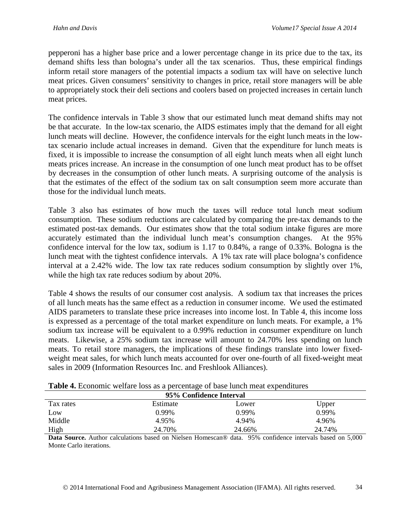pepperoni has a higher base price and a lower percentage change in its price due to the tax, its demand shifts less than bologna's under all the tax scenarios. Thus, these empirical findings inform retail store managers of the potential impacts a sodium tax will have on selective lunch meat prices. Given consumers' sensitivity to changes in price, retail store managers will be able to appropriately stock their deli sections and coolers based on projected increases in certain lunch meat prices.

The confidence intervals in Table 3 show that our estimated lunch meat demand shifts may not be that accurate. In the low-tax scenario, the AIDS estimates imply that the demand for all eight lunch meats will decline. However, the confidence intervals for the eight lunch meats in the lowtax scenario include actual increases in demand. Given that the expenditure for lunch meats is fixed, it is impossible to increase the consumption of all eight lunch meats when all eight lunch meats prices increase. An increase in the consumption of one lunch meat product has to be offset by decreases in the consumption of other lunch meats. A surprising outcome of the analysis is that the estimates of the effect of the sodium tax on salt consumption seem more accurate than those for the individual lunch meats.

Table 3 also has estimates of how much the taxes will reduce total lunch meat sodium consumption. These sodium reductions are calculated by comparing the pre-tax demands to the estimated post-tax demands. Our estimates show that the total sodium intake figures are more accurately estimated than the individual lunch meat's consumption changes. At the 95% confidence interval for the low tax, sodium is 1.17 to 0.84%, a range of 0.33%. Bologna is the lunch meat with the tightest confidence intervals. A 1% tax rate will place bologna's confidence interval at a 2.42% wide. The low tax rate reduces sodium consumption by slightly over 1%, while the high tax rate reduces sodium by about 20%.

Table 4 shows the results of our consumer cost analysis. A sodium tax that increases the prices of all lunch meats has the same effect as a reduction in consumer income. We used the estimated AIDS parameters to translate these price increases into income lost. In Table 4, this income loss is expressed as a percentage of the total market expenditure on lunch meats. For example, a 1% sodium tax increase will be equivalent to a 0.99% reduction in consumer expenditure on lunch meats. Likewise, a 25% sodium tax increase will amount to 24.70% less spending on lunch meats. To retail store managers, the implications of these findings translate into lower fixedweight meat sales, for which lunch meats accounted for over one-fourth of all fixed-weight meat sales in 2009 (Information Resources Inc. and Freshlook Alliances).

| 95% Confidence Interval |          |        |        |  |  |
|-------------------------|----------|--------|--------|--|--|
| Tax rates               | Estimate | Lower  | Upper  |  |  |
| Low                     | 0.99%    | 0.99%  | 0.99%  |  |  |
| Middle                  | 4.95%    | 4.94%  | 4.96%  |  |  |
| High                    | 24.70%   | 24.66% | 24.74% |  |  |

| Table 4. Economic welfare loss as a percentage of base lunch meat expenditures |  |  |
|--------------------------------------------------------------------------------|--|--|
|--------------------------------------------------------------------------------|--|--|

**Data Source.** Author calculations based on Nielsen Homescan® data. 95% confidence intervals based on 5,000 Monte Carlo iterations.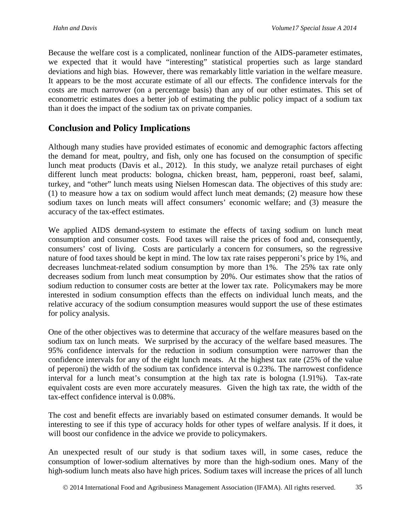Because the welfare cost is a complicated, nonlinear function of the AIDS-parameter estimates, we expected that it would have "interesting" statistical properties such as large standard deviations and high bias. However, there was remarkably little variation in the welfare measure. It appears to be the most accurate estimate of all our effects. The confidence intervals for the costs are much narrower (on a percentage basis) than any of our other estimates. This set of econometric estimates does a better job of estimating the public policy impact of a sodium tax than it does the impact of the sodium tax on private companies.

## **Conclusion and Policy Implications**

Although many studies have provided estimates of economic and demographic factors affecting the demand for meat, poultry, and fish, only one has focused on the consumption of specific lunch meat products (Davis et al., 2012). In this study, we analyze retail purchases of eight different lunch meat products: bologna, chicken breast, ham, pepperoni, roast beef, salami, turkey, and "other" lunch meats using Nielsen Homescan data. The objectives of this study are: (1) to measure how a tax on sodium would affect lunch meat demands; (2) measure how these sodium taxes on lunch meats will affect consumers' economic welfare; and (3) measure the accuracy of the tax-effect estimates.

We applied AIDS demand-system to estimate the effects of taxing sodium on lunch meat consumption and consumer costs. Food taxes will raise the prices of food and, consequently, consumers' cost of living. Costs are particularly a concern for consumers, so the regressive nature of food taxes should be kept in mind. The low tax rate raises pepperoni's price by 1%, and decreases lunchmeat-related sodium consumption by more than 1%. The 25% tax rate only decreases sodium from lunch meat consumption by 20%. Our estimates show that the ratios of sodium reduction to consumer costs are better at the lower tax rate. Policymakers may be more interested in sodium consumption effects than the effects on individual lunch meats, and the relative accuracy of the sodium consumption measures would support the use of these estimates for policy analysis.

One of the other objectives was to determine that accuracy of the welfare measures based on the sodium tax on lunch meats. We surprised by the accuracy of the welfare based measures. The 95% confidence intervals for the reduction in sodium consumption were narrower than the confidence intervals for any of the eight lunch meats. At the highest tax rate (25% of the value of peperoni) the width of the sodium tax confidence interval is 0.23%. The narrowest confidence interval for a lunch meat's consumption at the high tax rate is bologna (1.91%). Tax-rate equivalent costs are even more accurately measures. Given the high tax rate, the width of the tax-effect confidence interval is 0.08%.

The cost and benefit effects are invariably based on estimated consumer demands. It would be interesting to see if this type of accuracy holds for other types of welfare analysis. If it does, it will boost our confidence in the advice we provide to policymakers.

An unexpected result of our study is that sodium taxes will, in some cases, reduce the consumption of lower-sodium alternatives by more than the high-sodium ones. Many of the high-sodium lunch meats also have high prices. Sodium taxes will increase the prices of all lunch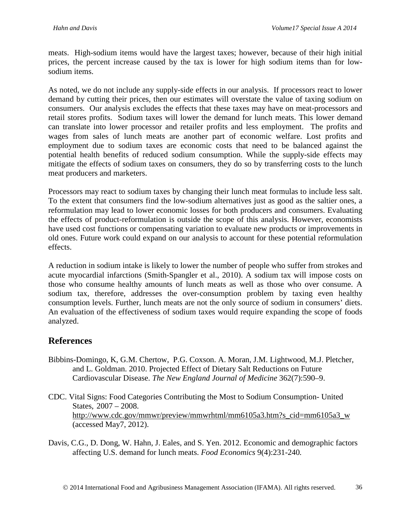meats. High-sodium items would have the largest taxes; however, because of their high initial prices, the percent increase caused by the tax is lower for high sodium items than for lowsodium items.

As noted, we do not include any supply-side effects in our analysis. If processors react to lower demand by cutting their prices, then our estimates will overstate the value of taxing sodium on consumers. Our analysis excludes the effects that these taxes may have on meat-processors and retail stores profits. Sodium taxes will lower the demand for lunch meats. This lower demand can translate into lower processor and retailer profits and less employment. The profits and wages from sales of lunch meats are another part of economic welfare. Lost profits and employment due to sodium taxes are economic costs that need to be balanced against the potential health benefits of reduced sodium consumption. While the supply-side effects may mitigate the effects of sodium taxes on consumers, they do so by transferring costs to the lunch meat producers and marketers.

Processors may react to sodium taxes by changing their lunch meat formulas to include less salt. To the extent that consumers find the low-sodium alternatives just as good as the saltier ones, a reformulation may lead to lower economic losses for both producers and consumers. Evaluating the effects of product-reformulation is outside the scope of this analysis. However, economists have used cost functions or compensating variation to evaluate new products or improvements in old ones. Future work could expand on our analysis to account for these potential reformulation effects.

A reduction in sodium intake is likely to lower the number of people who suffer from strokes and acute myocardial infarctions (Smith-Spangler et al., 2010). A sodium tax will impose costs on those who consume healthy amounts of lunch meats as well as those who over consume. A sodium tax, therefore, addresses the over-consumption problem by taxing even healthy consumption levels. Further, lunch meats are not the only source of sodium in consumers' diets. An evaluation of the effectiveness of sodium taxes would require expanding the scope of foods analyzed.

## **References**

- Bibbins-Domingo, K, G.M. Chertow, P.G. Coxson. A. Moran, J.M. Lightwood, M.J. Pletcher, and L. Goldman. 2010. Projected Effect of Dietary Salt Reductions on Future Cardiovascular Disease. *The New England Journal of Medicine* 362(7):590–9.
- CDC. Vital Signs: Food Categories Contributing the Most to Sodium Consumption- United States, 2007 – 2008. [http://www.cdc.gov/mmwr/preview/mmwrhtml/mm6105a3.htm?s\\_cid=mm6105a3\\_w](http://www.cdc.gov/mmwr/preview/mmwrhtml/mm6105a3.htm?s_cid=mm6105a3_w) (accessed May7, 2012).
- Davis, C.G., D. Dong, W. Hahn, J. Eales, and S. Yen. 2012. Economic and demographic factors affecting U.S. demand for lunch meats. *Food Economics* 9(4):231-240*.*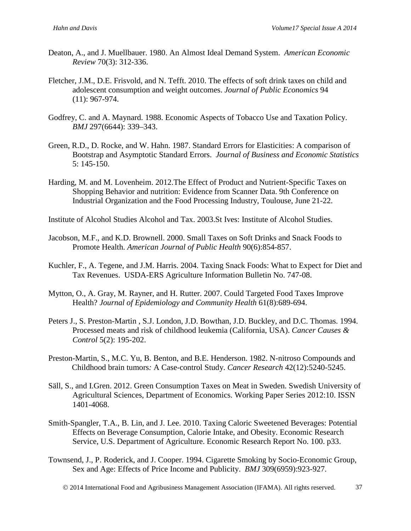- Deaton, A., and J. Muellbauer. 1980. An Almost Ideal Demand System. *American Economic Review* 70(3): 312-336.
- Fletcher, J.M., D.E. Frisvold, and N. Tefft. 2010. The effects of soft drink taxes on child and adolescent consumption and weight outcomes. *Journal of Public Economics* 94 (11): 967-974.
- Godfrey, C. and A. Maynard. 1988. Economic Aspects of Tobacco Use and Taxation Policy. *BMJ* 297(6644): 339–343.
- Green, R.D., D. Rocke, and W. Hahn. 1987. Standard Errors for Elasticities: A comparison of Bootstrap and Asymptotic Standard Errors. *Journal of Business and Economic Statistics* 5: 145-150.
- Harding, M. and M. Lovenheim. 2012.The Effect of Product and Nutrient-Specific Taxes on Shopping Behavior and nutrition: Evidence from Scanner Data. 9th Conference on Industrial Organization and the Food Processing Industry, Toulouse, June 21-22.

Institute of Alcohol Studies Alcohol and Tax. 2003.St Ives: Institute of Alcohol Studies.

- Jacobson, M.F., and K.D. Brownell. 2000. Small Taxes on Soft Drinks and Snack Foods to Promote Health. *American Journal of Public Health* 90(6):854-857.
- Kuchler, F., A. Tegene, and J.M. Harris. 2004. Taxing Snack Foods: What to Expect for Diet and Tax Revenues. USDA-ERS Agriculture Information Bulletin No. 747-08.
- Mytton, O., A. Gray, M. Rayner, and H. Rutter. 2007. Could Targeted Food Taxes Improve Health? *Journal of Epidemiology and Community Health* 61(8):689-694.
- Peters J., S. Preston-Martin , S.J. London, J.D. Bowthan, J.D. Buckley, and D.C. Thomas. 1994. Processed meats and risk of childhood leukemia (California, USA). *Cancer Causes & Control* 5(2): 195-202.
- Preston-Martin, S., M.C. Yu, B. Benton, and B.E. Henderson. 1982. N-nitroso Compounds and Childhood brain tumors*:* A Case-control Study. *Cancer Research* 42(12):5240-5245.
- Säll, S., and I.Gren. 2012. Green Consumption Taxes on Meat in Sweden. Swedish University of Agricultural Sciences, Department of Economics. Working Paper Series 2012:10. ISSN 1401-4068.
- Smith-Spangler, T.A., B. Lin, and J. Lee. 2010. Taxing Caloric Sweetened Beverages: Potential Effects on Beverage Consumption, Calorie Intake, and Obesity. Economic Research Service, U.S. Department of Agriculture. Economic Research Report No. 100. p33.
- Townsend, J., P. Roderick, and J. Cooper. 1994. Cigarette Smoking by Socio-Economic Group, Sex and Age: Effects of Price Income and Publicity. *BMJ* 309(6959):923-927.

2014 International Food and Agribusiness Management Association (IFAMA). All rights reserved. 37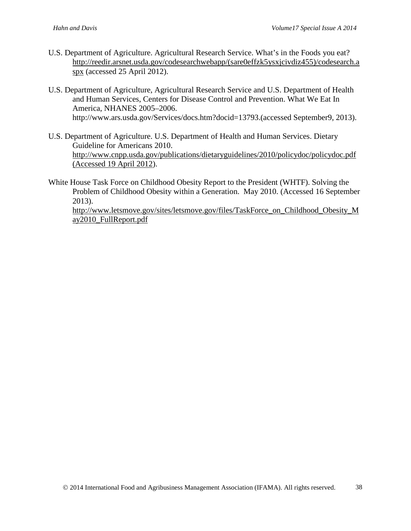- U.S. Department of Agriculture. Agricultural Research Service. What's in the Foods you eat? [http://reedir.arsnet.usda.gov/codesearchwebapp/\(sare0effzk5ysxjcivdiz455\)/codesearch.a](http://reedir.arsnet.usda.gov/codesearchwebapp/(sare0effzk5ysxjcivdiz455)/codesearch.aspx) [spx](http://reedir.arsnet.usda.gov/codesearchwebapp/(sare0effzk5ysxjcivdiz455)/codesearch.aspx) (accessed 25 April 2012).
- U.S. Department of Agriculture, Agricultural Research Service and U.S. Department of Health and Human Services, Centers for Disease Control and Prevention. What We Eat In America, NHANES 2005–2006. http://www.ars.usda.gov/Services/docs.htm?docid=13793.(accessed September9, 2013).
- U.S. Department of Agriculture. U.S. Department of Health and Human Services. Dietary Guideline for Americans 2010. [http://www.cnpp.usda.gov/publications/dietaryguidelines/2010/policydoc/policydoc.pdf](http://www.cnpp.usda.gov/publications/dietaryguidelines/2010/policydoc/policydoc.pdf%20(Accessed%2019%20April%202012)  [\(Accessed 19 April 2012\)](http://www.cnpp.usda.gov/publications/dietaryguidelines/2010/policydoc/policydoc.pdf%20(Accessed%2019%20April%202012).
- White House Task Force on Childhood Obesity Report to the President (WHTF). Solving the Problem of Childhood Obesity within a Generation. May 2010. (Accessed 16 September 2013).

[http://www.letsmove.gov/sites/letsmove.gov/files/TaskForce\\_on\\_Childhood\\_Obesity\\_M](http://www.letsmove.gov/sites/letsmove.gov/files/TaskForce_on_Childhood_Obesity_May2010_FullReport.pdf) [ay2010\\_FullReport.pdf](http://www.letsmove.gov/sites/letsmove.gov/files/TaskForce_on_Childhood_Obesity_May2010_FullReport.pdf)